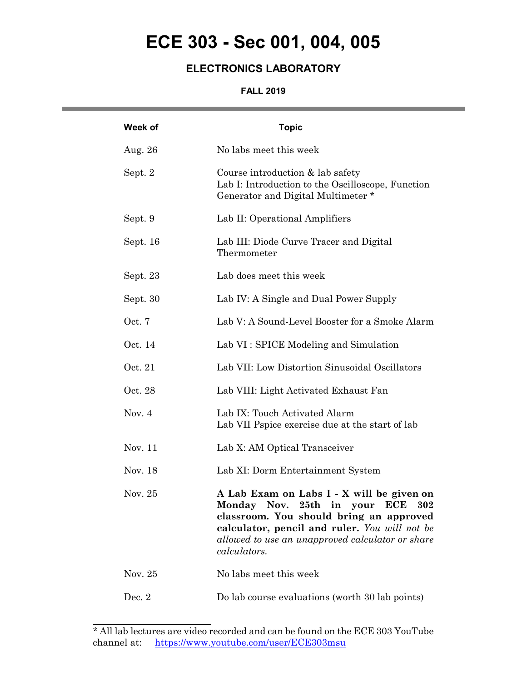## **ECE 303 - Sec 001, 004, 005**

### **ELECTRONICS LABORATORY**

#### **FALL 2019**

and the control of the control of the control of

| Week of  | <b>Topic</b>                                                                                                                                                                                                                                                         |
|----------|----------------------------------------------------------------------------------------------------------------------------------------------------------------------------------------------------------------------------------------------------------------------|
| Aug. 26  | No labs meet this week                                                                                                                                                                                                                                               |
| Sept. 2  | Course introduction & lab safety<br>Lab I: Introduction to the Oscilloscope, Function<br>Generator and Digital Multimeter*                                                                                                                                           |
| Sept. 9  | Lab II: Operational Amplifiers                                                                                                                                                                                                                                       |
| Sept. 16 | Lab III: Diode Curve Tracer and Digital<br>Thermometer                                                                                                                                                                                                               |
| Sept. 23 | Lab does meet this week                                                                                                                                                                                                                                              |
| Sept. 30 | Lab IV: A Single and Dual Power Supply                                                                                                                                                                                                                               |
| Oct. 7   | Lab V: A Sound-Level Booster for a Smoke Alarm                                                                                                                                                                                                                       |
| Oct. 14  | Lab VI: SPICE Modeling and Simulation                                                                                                                                                                                                                                |
| Oct. 21  | Lab VII: Low Distortion Sinusoidal Oscillators                                                                                                                                                                                                                       |
| Oct. 28  | Lab VIII: Light Activated Exhaust Fan                                                                                                                                                                                                                                |
| Nov. $4$ | Lab IX: Touch Activated Alarm<br>Lab VII Pspice exercise due at the start of lab                                                                                                                                                                                     |
| Nov. 11  | Lab X: AM Optical Transceiver                                                                                                                                                                                                                                        |
| Nov. 18  | Lab XI: Dorm Entertainment System                                                                                                                                                                                                                                    |
| Nov. 25  | A Lab Exam on Labs I - X will be given on<br>Monday Nov. 25th in<br>your<br><b>ECE</b><br>302<br>classroom. You should bring an approved<br>calculator, pencil and ruler. You will not be<br>allowed to use an unapproved calculator or share<br><i>calculators.</i> |
| Nov. 25  | No labs meet this week                                                                                                                                                                                                                                               |
| Dec. $2$ | Do lab course evaluations (worth 30 lab points)                                                                                                                                                                                                                      |

 $\overline{a}$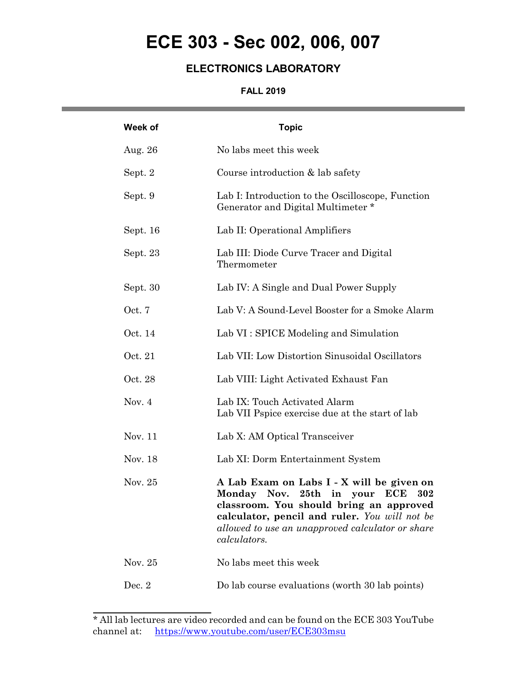# **ECE 303 - Sec 002, 006, 007**

### **ELECTRONICS LABORATORY**

#### **FALL 2019**

and the state of the state of the state of

| Week of  | <b>Topic</b>                                                                                                                                                                                                                                     |
|----------|--------------------------------------------------------------------------------------------------------------------------------------------------------------------------------------------------------------------------------------------------|
| Aug. 26  | No labs meet this week                                                                                                                                                                                                                           |
| Sept. 2  | Course introduction $&$ lab safety                                                                                                                                                                                                               |
| Sept. 9  | Lab I: Introduction to the Oscilloscope, Function<br>Generator and Digital Multimeter*                                                                                                                                                           |
| Sept. 16 | Lab II: Operational Amplifiers                                                                                                                                                                                                                   |
| Sept. 23 | Lab III: Diode Curve Tracer and Digital<br>Thermometer                                                                                                                                                                                           |
| Sept. 30 | Lab IV: A Single and Dual Power Supply                                                                                                                                                                                                           |
| Oct. 7   | Lab V: A Sound-Level Booster for a Smoke Alarm                                                                                                                                                                                                   |
| Oct. 14  | Lab VI: SPICE Modeling and Simulation                                                                                                                                                                                                            |
| Oct. 21  | Lab VII: Low Distortion Sinusoidal Oscillators                                                                                                                                                                                                   |
| Oct. 28  | Lab VIII: Light Activated Exhaust Fan                                                                                                                                                                                                            |
| Nov. $4$ | Lab IX: Touch Activated Alarm<br>Lab VII Pspice exercise due at the start of lab                                                                                                                                                                 |
| Nov. 11  | Lab X: AM Optical Transceiver                                                                                                                                                                                                                    |
| Nov. 18  | Lab XI: Dorm Entertainment System                                                                                                                                                                                                                |
| Nov. 25  | A Lab Exam on Labs I - X will be given on<br>Monday Nov. 25th in your ECE<br>302<br>classroom. You should bring an approved<br>calculator, pencil and ruler. You will not be<br>allowed to use an unapproved calculator or share<br>calculators. |
| Nov. 25  | No labs meet this week                                                                                                                                                                                                                           |
| Dec. $2$ | Do lab course evaluations (worth 30 lab points)                                                                                                                                                                                                  |

 $\overline{a}$ 

<sup>\*</sup> All lab lectures are video recorded and can be found on the ECE 303 YouTube channel at: https://www.youtube.com/user/ECE303msu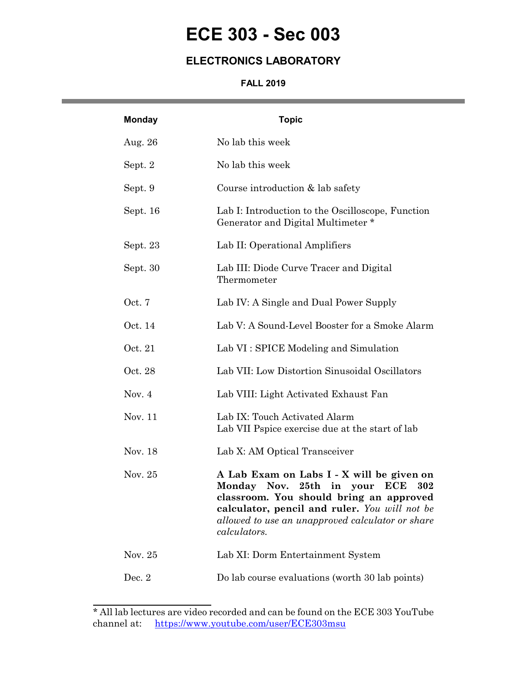## **ECE 303 - Sec 003**

### **ELECTRONICS LABORATORY**

#### **FALL 2019**

| <b>Monday</b> | <b>Topic</b>                                                                                                                                                                                                                                                  |
|---------------|---------------------------------------------------------------------------------------------------------------------------------------------------------------------------------------------------------------------------------------------------------------|
| Aug. 26       | No lab this week                                                                                                                                                                                                                                              |
| Sept. 2       | No lab this week                                                                                                                                                                                                                                              |
| Sept. 9       | Course introduction & lab safety                                                                                                                                                                                                                              |
| Sept. 16      | Lab I: Introduction to the Oscilloscope, Function<br>Generator and Digital Multimeter *                                                                                                                                                                       |
| Sept. 23      | Lab II: Operational Amplifiers                                                                                                                                                                                                                                |
| Sept. 30      | Lab III: Diode Curve Tracer and Digital<br>Thermometer                                                                                                                                                                                                        |
| Oct. 7        | Lab IV: A Single and Dual Power Supply                                                                                                                                                                                                                        |
| Oct. 14       | Lab V: A Sound-Level Booster for a Smoke Alarm                                                                                                                                                                                                                |
| Oct. 21       | Lab VI: SPICE Modeling and Simulation                                                                                                                                                                                                                         |
| Oct. 28       | Lab VII: Low Distortion Sinusoidal Oscillators                                                                                                                                                                                                                |
| Nov. $4$      | Lab VIII: Light Activated Exhaust Fan                                                                                                                                                                                                                         |
| Nov. 11       | Lab IX: Touch Activated Alarm<br>Lab VII Pspice exercise due at the start of lab                                                                                                                                                                              |
| Nov. 18       | Lab X: AM Optical Transceiver                                                                                                                                                                                                                                 |
| Nov. $25$     | A Lab Exam on Labs I - X will be given on<br>Monday Nov.<br>25th in your<br><b>ECE</b><br>302<br>classroom. You should bring an approved<br>calculator, pencil and ruler. You will not be<br>allowed to use an unapproved calculator or share<br>calculators. |
| Nov. 25       | Lab XI: Dorm Entertainment System                                                                                                                                                                                                                             |
| Dec. 2        | Do lab course evaluations (worth 30 lab points)                                                                                                                                                                                                               |

<sup>\*</sup> All lab lectures are video recorded and can be found on the ECE 303 YouTube channel at: https://www.youtube.com/user/ECE303msu

 $\overline{a}$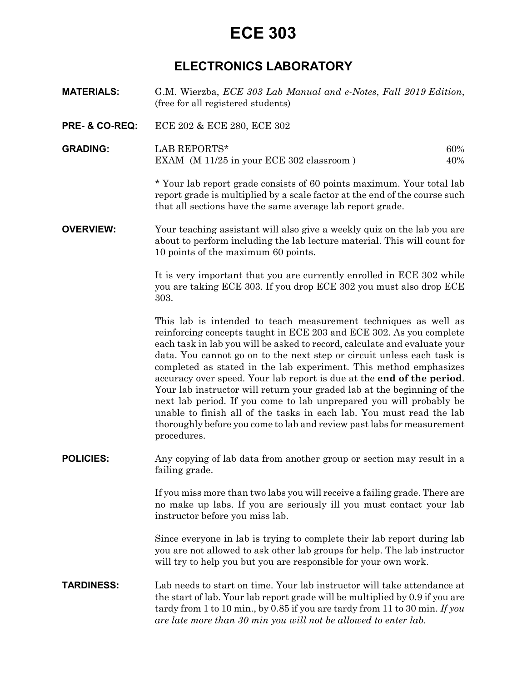## **ECE 303**

### **ELECTRONICS LABORATORY**

- **MATERIALS:** G.M. Wierzba, *ECE 303 Lab Manual and e-Notes*, *Fall 2019 Edition*, (free for all registered students)
- **PRE- & CO-REQ:** ECE 202 & ECE 280, ECE 302
- **GRADING:** LAB REPORTS\* 60% EXAM (M 11/25 in your ECE 302 classroom ) 40%

*\** Your lab report grade consists of 60 points maximum. Your total lab report grade is multiplied by a scale factor at the end of the course such that all sections have the same average lab report grade.

**OVERVIEW:** Your teaching assistant will also give a weekly quiz on the lab you are about to perform including the lab lecture material. This will count for 10 points of the maximum 60 points.

> It is very important that you are currently enrolled in ECE 302 while you are taking ECE 303. If you drop ECE 302 you must also drop ECE 303.

> This lab is intended to teach measurement techniques as well as reinforcing concepts taught in ECE 203 and ECE 302. As you complete each task in lab you will be asked to record, calculate and evaluate your data. You cannot go on to the next step or circuit unless each task is completed as stated in the lab experiment. This method emphasizes accuracy over speed. Your lab report is due at the **end of the period**. Your lab instructor will return your graded lab at the beginning of the next lab period. If you come to lab unprepared you will probably be unable to finish all of the tasks in each lab. You must read the lab thoroughly before you come to lab and review past labs for measurement procedures.

**POLICIES:** Any copying of lab data from another group or section may result in a failing grade.

> If you miss more than two labs you will receive a failing grade. There are no make up labs. If you are seriously ill you must contact your lab instructor before you miss lab.

> Since everyone in lab is trying to complete their lab report during lab you are not allowed to ask other lab groups for help. The lab instructor will try to help you but you are responsible for your own work.

**TARDINESS:** Lab needs to start on time. Your lab instructor will take attendance at the start of lab. Your lab report grade will be multiplied by 0.9 if you are tardy from 1 to 10 min., by 0.85 if you are tardy from 11 to 30 min. *If you are late more than 30 min you will not be allowed to enter lab*.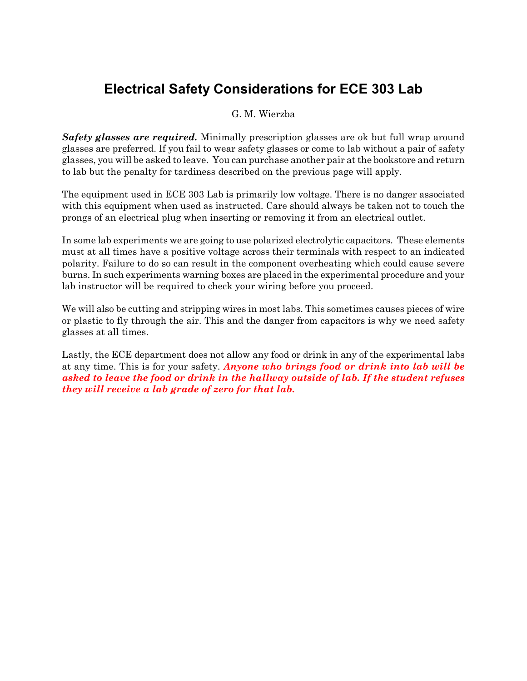## **Electrical Safety Considerations for ECE 303 Lab**

G. M. Wierzba

*Safety glasses are required.* Minimally prescription glasses are ok but full wrap around glasses are preferred. If you fail to wear safety glasses or come to lab without a pair of safety glasses, you will be asked to leave. You can purchase another pair at the bookstore and return to lab but the penalty for tardiness described on the previous page will apply.

The equipment used in ECE 303 Lab is primarily low voltage. There is no danger associated with this equipment when used as instructed. Care should always be taken not to touch the prongs of an electrical plug when inserting or removing it from an electrical outlet.

In some lab experiments we are going to use polarized electrolytic capacitors. These elements must at all times have a positive voltage across their terminals with respect to an indicated polarity. Failure to do so can result in the component overheating which could cause severe burns. In such experiments warning boxes are placed in the experimental procedure and your lab instructor will be required to check your wiring before you proceed.

We will also be cutting and stripping wires in most labs. This sometimes causes pieces of wire or plastic to fly through the air. This and the danger from capacitors is why we need safety glasses at all times.

Lastly, the ECE department does not allow any food or drink in any of the experimental labs at any time. This is for your safety. *Anyone who brings food or drink into lab will be asked to leave the food or drink in the hallway outside of lab. If the student refuses they will receive a lab grade of zero for that lab.*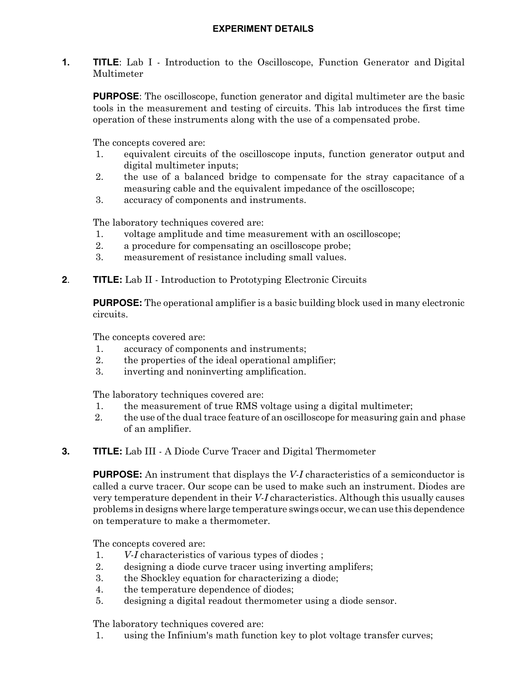**1. TITLE**: Lab I - Introduction to the Oscilloscope, Function Generator and Digital Multimeter

**PURPOSE**: The oscilloscope, function generator and digital multimeter are the basic tools in the measurement and testing of circuits. This lab introduces the first time operation of these instruments along with the use of a compensated probe.

The concepts covered are:

- 1. equivalent circuits of the oscilloscope inputs, function generator output and digital multimeter inputs;
- 2. the use of a balanced bridge to compensate for the stray capacitance of a measuring cable and the equivalent impedance of the oscilloscope;
- 3. accuracy of components and instruments.

The laboratory techniques covered are:

- 1. voltage amplitude and time measurement with an oscilloscope;
- 2. a procedure for compensating an oscilloscope probe;
- 3. measurement of resistance including small values.

#### **2**. **TITLE:** Lab II - Introduction to Prototyping Electronic Circuits

**PURPOSE:** The operational amplifier is a basic building block used in many electronic circuits.

The concepts covered are:

- 1. accuracy of components and instruments;
- 2. the properties of the ideal operational amplifier;
- 3. inverting and noninverting amplification.

The laboratory techniques covered are:

- 1. the measurement of true RMS voltage using a digital multimeter;
- 2. the use of the dual trace feature of an oscilloscope for measuring gain and phase of an amplifier.
- **3. TITLE:** Lab III A Diode Curve Tracer and Digital Thermometer

**PURPOSE:** An instrument that displays the *V-I* characteristics of a semiconductor is called a curve tracer. Our scope can be used to make such an instrument. Diodes are very temperature dependent in their *V-I* characteristics. Although this usually causes problems in designs where large temperature swings occur, we can use this dependence on temperature to make a thermometer.

The concepts covered are:

- 1. *V-I* characteristics of various types of diodes ;
- 2. designing a diode curve tracer using inverting amplifers;
- 3. the Shockley equation for characterizing a diode;
- 4. the temperature dependence of diodes;
- 5. designing a digital readout thermometer using a diode sensor.

The laboratory techniques covered are:

1. using the Infinium's math function key to plot voltage transfer curves;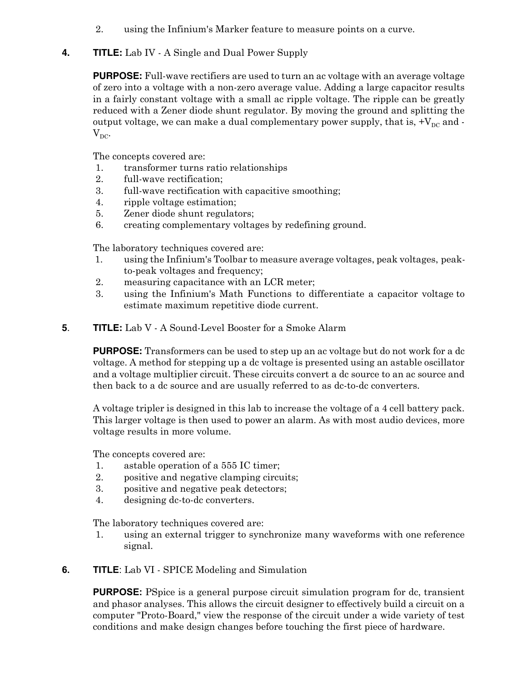- 2. using the Infinium's Marker feature to measure points on a curve.
- **4. TITLE:** Lab IV A Single and Dual Power Supply

**PURPOSE:** Full-wave rectifiers are used to turn an ac voltage with an average voltage of zero into a voltage with a non-zero average value. Adding a large capacitor results in a fairly constant voltage with a small ac ripple voltage. The ripple can be greatly reduced with a Zener diode shunt regulator. By moving the ground and splitting the output voltage, we can make a dual complementary power supply, that is,  $+V_{DC}$  and - $V_{DC}$ .

The concepts covered are:

- 1. transformer turns ratio relationships
- 2. full-wave rectification;
- 3. full-wave rectification with capacitive smoothing;
- 4. ripple voltage estimation;
- 5. Zener diode shunt regulators;
- 6. creating complementary voltages by redefining ground.

The laboratory techniques covered are:

- 1. using the Infinium's Toolbar to measure average voltages, peak voltages, peakto-peak voltages and frequency;
- 2. measuring capacitance with an LCR meter;
- 3. using the Infinium's Math Functions to differentiate a capacitor voltage to estimate maximum repetitive diode current.
- **5**. **TITLE:** Lab V A Sound-Level Booster for a Smoke Alarm

**PURPOSE:** Transformers can be used to step up an ac voltage but do not work for a dc voltage. A method for stepping up a dc voltage is presented using an astable oscillator and a voltage multiplier circuit. These circuits convert a dc source to an ac source and then back to a dc source and are usually referred to as dc-to-dc converters.

A voltage tripler is designed in this lab to increase the voltage of a 4 cell battery pack. This larger voltage is then used to power an alarm. As with most audio devices, more voltage results in more volume.

The concepts covered are:

- 1. astable operation of a 555 IC timer;
- 2. positive and negative clamping circuits;
- 3. positive and negative peak detectors;
- 4. designing dc-to-dc converters.

The laboratory techniques covered are:

 1. using an external trigger to synchronize many waveforms with one reference signal.

#### **6. TITLE**: Lab VI - SPICE Modeling and Simulation

**PURPOSE:** PSpice is a general purpose circuit simulation program for dc, transient and phasor analyses. This allows the circuit designer to effectively build a circuit on a computer "Proto-Board," view the response of the circuit under a wide variety of test conditions and make design changes before touching the first piece of hardware.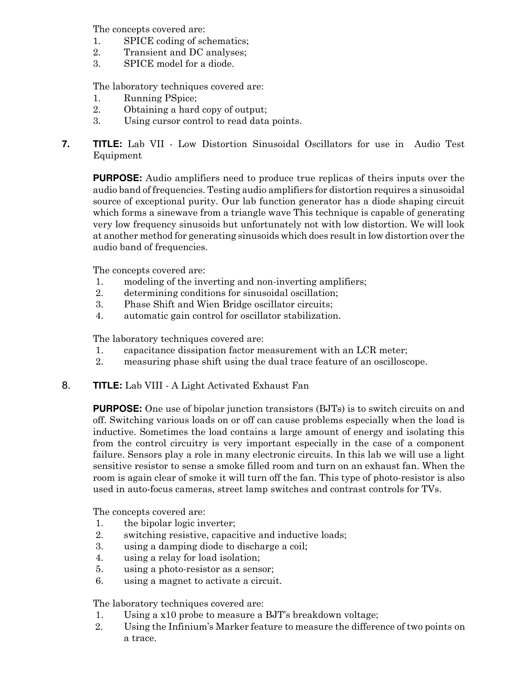The concepts covered are:

- 1. SPICE coding of schematics;
- 2. Transient and DC analyses;
- 3. SPICE model for a diode.

The laboratory techniques covered are:

- 1. Running PSpice;
- 2. Obtaining a hard copy of output;
- 3. Using cursor control to read data points.
- **7. TITLE:** Lab VII Low Distortion Sinusoidal Oscillators for use in Audio Test Equipment

**PURPOSE:** Audio amplifiers need to produce true replicas of theirs inputs over the audio band of frequencies. Testing audio amplifiers for distortion requires a sinusoidal source of exceptional purity. Our lab function generator has a diode shaping circuit which forms a sinewave from a triangle wave This technique is capable of generating very low frequency sinusoids but unfortunately not with low distortion. We will look at another method for generating sinusoids which does result in low distortion over the audio band of frequencies.

The concepts covered are:

- 1. modeling of the inverting and non-inverting amplifiers;
- 2. determining conditions for sinusoidal oscillation;
- 3. Phase Shift and Wien Bridge oscillator circuits;
- 4. automatic gain control for oscillator stabilization.

The laboratory techniques covered are:

- 1. capacitance dissipation factor measurement with an LCR meter;
- 2. measuring phase shift using the dual trace feature of an oscilloscope.
- 8. **TITLE:** Lab VIII A Light Activated Exhaust Fan

**PURPOSE:** One use of bipolar junction transistors (BJTs) is to switch circuits on and off. Switching various loads on or off can cause problems especially when the load is inductive. Sometimes the load contains a large amount of energy and isolating this from the control circuitry is very important especially in the case of a component failure. Sensors play a role in many electronic circuits. In this lab we will use a light sensitive resistor to sense a smoke filled room and turn on an exhaust fan. When the room is again clear of smoke it will turn off the fan. This type of photo-resistor is also used in auto-focus cameras, street lamp switches and contrast controls for TVs.

The concepts covered are:

- 1. the bipolar logic inverter;
- 2. switching resistive, capacitive and inductive loads;
- 3. using a damping diode to discharge a coil;
- 4. using a relay for load isolation;
- 5. using a photo-resistor as a sensor;
- 6. using a magnet to activate a circuit.

The laboratory techniques covered are:

- 1. Using a x10 probe to measure a BJT's breakdown voltage;
- 2. Using the Infinium's Marker feature to measure the difference of two points on a trace.